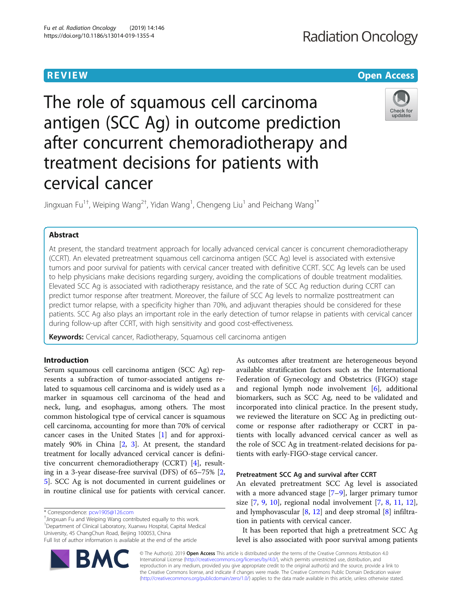# **Radiation Oncology**

# **REVIEW CONTROL** CONTROL CONTROL CONTROL CONTROL CONTROL CONTROL CONTROL CONTROL CONTROL CONTROL CONTROL CONTROL

The role of squamous cell carcinoma antigen (SCC Ag) in outcome prediction after concurrent chemoradiotherapy and treatment decisions for patients with cervical cancer



Jingxuan Fu $^{1\dagger}$ , Weiping Wang $^{2\dagger}$ , Yidan Wang $^{1}$ , Chengeng Liu $^{1}$  and Peichang Wang $^{1*}$ 

# Abstract

At present, the standard treatment approach for locally advanced cervical cancer is concurrent chemoradiotherapy (CCRT). An elevated pretreatment squamous cell carcinoma antigen (SCC Ag) level is associated with extensive tumors and poor survival for patients with cervical cancer treated with definitive CCRT. SCC Ag levels can be used to help physicians make decisions regarding surgery, avoiding the complications of double treatment modalities. Elevated SCC Ag is associated with radiotherapy resistance, and the rate of SCC Ag reduction during CCRT can predict tumor response after treatment. Moreover, the failure of SCC Ag levels to normalize posttreatment can predict tumor relapse, with a specificity higher than 70%, and adjuvant therapies should be considered for these patients. SCC Ag also plays an important role in the early detection of tumor relapse in patients with cervical cancer during follow-up after CCRT, with high sensitivity and good cost-effectiveness.

Keywords: Cervical cancer, Radiotherapy, Squamous cell carcinoma antigen

# Introduction

Serum squamous cell carcinoma antigen (SCC Ag) represents a subfraction of tumor-associated antigens related to squamous cell carcinoma and is widely used as a marker in squamous cell carcinoma of the head and neck, lung, and esophagus, among others. The most common histological type of cervical cancer is squamous cell carcinoma, accounting for more than 70% of cervical cancer cases in the United States [\[1](#page-4-0)] and for approximately 90% in China [[2,](#page-4-0) [3\]](#page-4-0). At present, the standard treatment for locally advanced cervical cancer is definitive concurrent chemoradiotherapy (CCRT) [\[4](#page-4-0)], resulting in a 3-year disease-free survival (DFS) of 65–75% [\[2](#page-4-0), [5\]](#page-4-0). SCC Ag is not documented in current guidelines or in routine clinical use for patients with cervical cancer.

BM

<sup>+</sup>Jingxuan Fu and Weiping Wang contributed equally to this work 1 Department of Clinical Laboratory, Xuanwu Hospital, Capital Medical University, 45 ChangChun Road, Beijing 100053, China Full list of author information is available at the end of the article



# Pretreatment SCC Ag and survival after CCRT

An elevated pretreatment SCC Ag level is associated with a more advanced stage [[7](#page-4-0)–[9](#page-4-0)], larger primary tumor size [[7](#page-4-0), [9](#page-4-0), [10\]](#page-4-0), regional nodal involvement [\[7](#page-4-0), [8](#page-4-0), [11,](#page-4-0) [12](#page-4-0)], and lymphovascular [[8,](#page-4-0) [12\]](#page-4-0) and deep stromal [[8\]](#page-4-0) infiltration in patients with cervical cancer.

It has been reported that high a pretreatment SCC Ag level is also associated with poor survival among patients



<sup>\*</sup> Correspondence: [pcw1905@126.com](mailto:pcw1905@126.com) †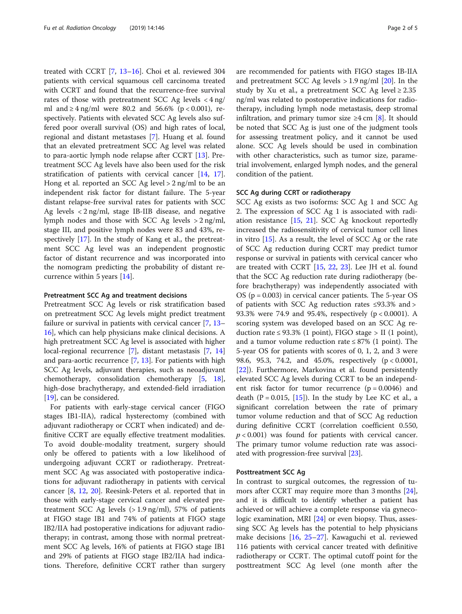treated with CCRT [\[7](#page-4-0), [13](#page-4-0)–[16\]](#page-4-0). Choi et al. reviewed 304 patients with cervical squamous cell carcinoma treated with CCRT and found that the recurrence-free survival rates of those with pretreatment SCC Ag levels  $\langle 4 \rangle$  ng/ ml and ≥ 4 ng/ml were 80.2 and 56.6% (p < 0.001), respectively. Patients with elevated SCC Ag levels also suffered poor overall survival (OS) and high rates of local, regional and distant metastases [[7\]](#page-4-0). Huang et al. found that an elevated pretreatment SCC Ag level was related to para-aortic lymph node relapse after CCRT [[13\]](#page-4-0). Pretreatment SCC Ag levels have also been used for the risk stratification of patients with cervical cancer [\[14,](#page-4-0) [17](#page-4-0)]. Hong et al. reported an SCC Ag level > 2 ng/ml to be an independent risk factor for distant failure. The 5-year distant relapse-free survival rates for patients with SCC Ag levels < 2 ng/ml, stage IB-IIB disease, and negative lymph nodes and those with SCC Ag levels > 2 ng/ml, stage III, and positive lymph nodes were 83 and 43%, respectively [[17\]](#page-4-0). In the study of Kang et al., the pretreatment SCC Ag level was an independent prognostic factor of distant recurrence and was incorporated into the nomogram predicting the probability of distant recurrence within 5 years [[14\]](#page-4-0).

# Pretreatment SCC Ag and treatment decisions

Pretreatment SCC Ag levels or risk stratification based on pretreatment SCC Ag levels might predict treatment failure or survival in patients with cervical cancer [[7,](#page-4-0) [13](#page-4-0)– [16\]](#page-4-0), which can help physicians make clinical decisions. A high pretreatment SCC Ag level is associated with higher local-regional recurrence [[7\]](#page-4-0), distant metastasis [[7,](#page-4-0) [14](#page-4-0)] and para-aortic recurrence [[7,](#page-4-0) [13\]](#page-4-0). For patients with high SCC Ag levels, adjuvant therapies, such as neoadjuvant chemotherapy, consolidation chemotherapy [\[5](#page-4-0), [18](#page-4-0)], high-dose brachytherapy, and extended-field irradiation [[19\]](#page-4-0), can be considered.

For patients with early-stage cervical cancer (FIGO stages IB1-IIA), radical hysterectomy (combined with adjuvant radiotherapy or CCRT when indicated) and definitive CCRT are equally effective treatment modalities. To avoid double-modality treatment, surgery should only be offered to patients with a low likelihood of undergoing adjuvant CCRT or radiotherapy. Pretreatment SCC Ag was associated with postoperative indications for adjuvant radiotherapy in patients with cervical cancer [\[8](#page-4-0), [12](#page-4-0), [20\]](#page-4-0). Reesink-Peters et al. reported that in those with early-stage cervical cancer and elevated pretreatment SCC Ag levels  $(>1.9 \text{ ng/ml})$ , 57% of patients at FIGO stage IB1 and 74% of patients at FIGO stage IB2/IIA had postoperative indications for adjuvant radiotherapy; in contrast, among those with normal pretreatment SCC Ag levels, 16% of patients at FIGO stage IB1 and 29% of patients at FIGO stage IB2/IIA had indications. Therefore, definitive CCRT rather than surgery are recommended for patients with FIGO stages IB-IIA and pretreatment SCC Ag levels  $> 1.9$  ng/ml [[20\]](#page-4-0). In the study by Xu et al., a pretreatment SCC Ag level  $\geq 2.35$ ng/ml was related to postoperative indications for radiotherapy, including lymph node metastasis, deep stromal infiltration, and primary tumor size  $\geq 4$  cm [\[8](#page-4-0)]. It should be noted that SCC Ag is just one of the judgment tools for assessing treatment policy, and it cannot be used alone. SCC Ag levels should be used in combination with other characteristics, such as tumor size, parametrial involvement, enlarged lymph nodes, and the general condition of the patient.

# SCC Ag during CCRT or radiotherapy

SCC Ag exists as two isoforms: SCC Ag 1 and SCC Ag 2. The expression of SCC Ag 1 is associated with radiation resistance [[15,](#page-4-0) [21](#page-4-0)]. SCC Ag knockout reportedly increased the radiosensitivity of cervical tumor cell lines in vitro [\[15](#page-4-0)]. As a result, the level of SCC Ag or the rate of SCC Ag reduction during CCRT may predict tumor response or survival in patients with cervical cancer who are treated with CCRT [[15](#page-4-0), [22](#page-4-0), [23\]](#page-4-0). Lee JH et al. found that the SCC Ag reduction rate during radiotherapy (before brachytherapy) was independently associated with OS (p = 0.003) in cervical cancer patients. The 5-year OS of patients with SCC Ag reduction rates ≤93.3% and > 93.3% were 74.9 and 95.4%, respectively (p < 0.0001). A scoring system was developed based on an SCC Ag reduction rate ≤ 93.3% (1 point), FIGO stage > II (1 point), and a tumor volume reduction rate  $\leq 87\%$  (1 point). The 5-year OS for patients with scores of 0, 1, 2, and 3 were 98.6, 95.3, 74.2, and 45.0%, respectively (p < 0.0001, [[22\]](#page-4-0)). Furthermore, Markovina et al. found persistently elevated SCC Ag levels during CCRT to be an independent risk factor for tumor recurrence  $(p = 0.0046)$  and death  $(P = 0.015, [15])$  $(P = 0.015, [15])$  $(P = 0.015, [15])$ . In the study by Lee KC et al., a significant correlation between the rate of primary tumor volume reduction and that of SCC Ag reduction during definitive CCRT (correlation coefficient 0.550,  $p < 0.001$ ) was found for patients with cervical cancer. The primary tumor volume reduction rate was associated with progression-free survival [\[23](#page-4-0)].

# Posttreatment SCC Ag

In contrast to surgical outcomes, the regression of tumors after CCRT may require more than 3 months [\[24](#page-4-0)], and it is difficult to identify whether a patient has achieved or will achieve a complete response via gynecologic examination, MRI [\[24](#page-4-0)] or even biopsy. Thus, assessing SCC Ag levels has the potential to help physicians make decisions [\[16,](#page-4-0) [25](#page-4-0)–[27](#page-4-0)]. Kawaguchi et al. reviewed 116 patients with cervical cancer treated with definitive radiotherapy or CCRT. The optimal cutoff point for the posttreatment SCC Ag level (one month after the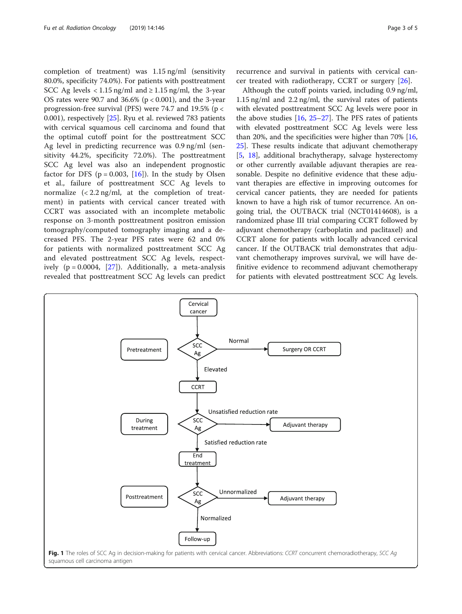<span id="page-2-0"></span>completion of treatment) was 1.15 ng/ml (sensitivity 80.0%, specificity 74.0%). For patients with posttreatment SCC Ag levels < 1.15 ng/ml and  $\geq$  1.15 ng/ml, the 3-year OS rates were 90.7 and  $36.6\%$  (p < 0.001), and the 3-year progression-free survival (PFS) were 74.7 and 19.5% (p < 0.001), respectively [[25\]](#page-4-0). Ryu et al. reviewed 783 patients with cervical squamous cell carcinoma and found that the optimal cutoff point for the posttreatment SCC Ag level in predicting recurrence was 0.9 ng/ml (sensitivity 44.2%, specificity 72.0%). The posttreatment SCC Ag level was also an independent prognostic factor for DFS ( $p = 0.003$ , [[16\]](#page-4-0)). In the study by Olsen et al., failure of posttreatment SCC Ag levels to normalize  $\left($  < 2.2 ng/ml, at the completion of treatment) in patients with cervical cancer treated with CCRT was associated with an incomplete metabolic response on 3-month posttreatment positron emission tomography/computed tomography imaging and a decreased PFS. The 2-year PFS rates were 62 and 0% for patients with normalized posttreatment SCC Ag and elevated posttreatment SCC Ag levels, respectively  $(p = 0.0004, [27])$  $(p = 0.0004, [27])$  $(p = 0.0004, [27])$ . Additionally, a meta-analysis revealed that posttreatment SCC Ag levels can predict

recurrence and survival in patients with cervical cancer treated with radiotherapy, CCRT or surgery [[26](#page-4-0)].

Although the cutoff points varied, including 0.9 ng/ml, 1.15 ng/ml and 2.2 ng/ml, the survival rates of patients with elevated posttreatment SCC Ag levels were poor in the above studies  $[16, 25-27]$  $[16, 25-27]$  $[16, 25-27]$  $[16, 25-27]$  $[16, 25-27]$  $[16, 25-27]$ . The PFS rates of patients with elevated posttreatment SCC Ag levels were less than 20%, and the specificities were higher than 70% [[16](#page-4-0), [25\]](#page-4-0). These results indicate that adjuvant chemotherapy [[5,](#page-4-0) [18\]](#page-4-0), additional brachytherapy, salvage hysterectomy or other currently available adjuvant therapies are reasonable. Despite no definitive evidence that these adjuvant therapies are effective in improving outcomes for cervical cancer patients, they are needed for patients known to have a high risk of tumor recurrence. An ongoing trial, the OUTBACK trial (NCT01414608), is a randomized phase III trial comparing CCRT followed by adjuvant chemotherapy (carboplatin and paclitaxel) and CCRT alone for patients with locally advanced cervical cancer. If the OUTBACK trial demonstrates that adjuvant chemotherapy improves survival, we will have definitive evidence to recommend adjuvant chemotherapy for patients with elevated posttreatment SCC Ag levels.

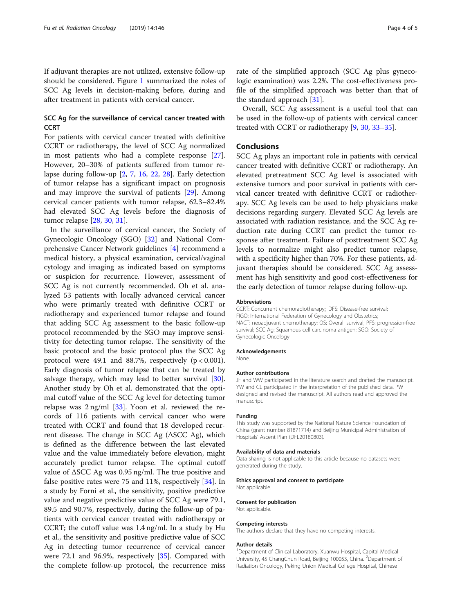If adjuvant therapies are not utilized, extensive follow-up should be considered. Figure [1](#page-2-0) summarized the roles of SCC Ag levels in decision-making before, during and after treatment in patients with cervical cancer.

# SCC Ag for the surveillance of cervical cancer treated with **CCRT**

For patients with cervical cancer treated with definitive CCRT or radiotherapy, the level of SCC Ag normalized in most patients who had a complete response [\[27](#page-4-0)]. However, 20–30% of patients suffered from tumor relapse during follow-up [\[2](#page-4-0), [7,](#page-4-0) [16](#page-4-0), [22,](#page-4-0) [28\]](#page-4-0). Early detection of tumor relapse has a significant impact on prognosis and may improve the survival of patients [[29](#page-4-0)]. Among cervical cancer patients with tumor relapse, 62.3–82.4% had elevated SCC Ag levels before the diagnosis of tumor relapse [[28](#page-4-0), [30](#page-4-0), [31](#page-4-0)].

In the surveillance of cervical cancer, the Society of Gynecologic Oncology (SGO) [[32\]](#page-4-0) and National Comprehensive Cancer Network guidelines [\[4](#page-4-0)] recommend a medical history, a physical examination, cervical/vaginal cytology and imaging as indicated based on symptoms or suspicion for recurrence. However, assessment of SCC Ag is not currently recommended. Oh et al. analyzed 53 patients with locally advanced cervical cancer who were primarily treated with definitive CCRT or radiotherapy and experienced tumor relapse and found that adding SCC Ag assessment to the basic follow-up protocol recommended by the SGO may improve sensitivity for detecting tumor relapse. The sensitivity of the basic protocol and the basic protocol plus the SCC Ag protocol were 49.1 and 88.7%, respectively  $(p < 0.001)$ . Early diagnosis of tumor relapse that can be treated by salvage therapy, which may lead to better survival [\[30](#page-4-0)]. Another study by Oh et al. demonstrated that the optimal cutoff value of the SCC Ag level for detecting tumor relapse was  $2 \text{ ng/ml } [33]$  $2 \text{ ng/ml } [33]$  $2 \text{ ng/ml } [33]$ . Yoon et al. reviewed the records of 116 patients with cervical cancer who were treated with CCRT and found that 18 developed recurrent disease. The change in SCC Ag  $(ASCC Ag)$ , which is defined as the difference between the last elevated value and the value immediately before elevation, might accurately predict tumor relapse. The optimal cutoff value of ΔSCC Ag was 0.95 ng/ml. The true positive and false positive rates were 75 and 11%, respectively [[34](#page-4-0)]. In a study by Forni et al., the sensitivity, positive predictive value and negative predictive value of SCC Ag were 79.1, 89.5 and 90.7%, respectively, during the follow-up of patients with cervical cancer treated with radiotherapy or CCRT; the cutoff value was 1.4 ng/ml. In a study by Hu et al., the sensitivity and positive predictive value of SCC Ag in detecting tumor recurrence of cervical cancer were 72.1 and 96.9%, respectively [\[35\]](#page-4-0). Compared with the complete follow-up protocol, the recurrence miss

rate of the simplified approach (SCC Ag plus gynecologic examination) was 2.2%. The cost-effectiveness profile of the simplified approach was better than that of the standard approach [[31](#page-4-0)].

Overall, SCC Ag assessment is a useful tool that can be used in the follow-up of patients with cervical cancer treated with CCRT or radiotherapy [\[9](#page-4-0), [30,](#page-4-0) [33](#page-4-0)–[35\]](#page-4-0).

# Conclusions

SCC Ag plays an important role in patients with cervical cancer treated with definitive CCRT or radiotherapy. An elevated pretreatment SCC Ag level is associated with extensive tumors and poor survival in patients with cervical cancer treated with definitive CCRT or radiotherapy. SCC Ag levels can be used to help physicians make decisions regarding surgery. Elevated SCC Ag levels are associated with radiation resistance, and the SCC Ag reduction rate during CCRT can predict the tumor response after treatment. Failure of posttreatment SCC Ag levels to normalize might also predict tumor relapse, with a specificity higher than 70%. For these patients, adjuvant therapies should be considered. SCC Ag assessment has high sensitivity and good cost-effectiveness for the early detection of tumor relapse during follow-up.

#### Abbreviations

CCRT: Concurrent chemoradiotherapy;; DFS: Disease-free survival; FIGO: International Federation of Gynecology and Obstetrics; NACT: neoadjuvant chemotherapy; OS: Overall survival; PFS: progression-free survival; SCC Ag: Squamous cell carcinoma antigen; SGO: Society of Gynecologic Oncology

#### Acknowledgements

None.

#### Author contributions

JF and WW participated in the literature search and drafted the manuscript. YW and CL participated in the interpretation of the published data. PW designed and revised the manuscript. All authors read and approved the manuscript.

### Funding

This study was supported by the National Nature Science Foundation of China (grant number 81871714) and Beijing Municipal Administration of Hospitals' Ascent Plan (DFL20180803).

#### Availability of data and materials

Data sharing is not applicable to this article because no datasets were generated during the study.

#### Ethics approval and consent to participate

Not applicable.

#### Consent for publication

Not applicable.

#### Competing interests

The authors declare that they have no competing interests.

#### Author details

<sup>1</sup>Department of Clinical Laboratory, Xuanwu Hospital, Capital Medical University, 45 ChangChun Road, Beijing 100053, China. <sup>2</sup>Department of Radiation Oncology, Peking Union Medical College Hospital, Chinese